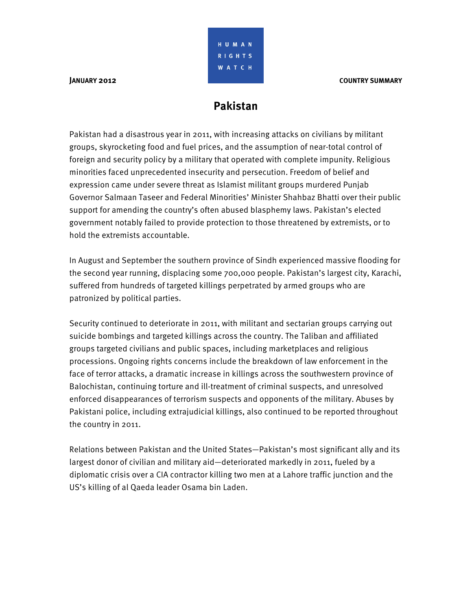# **Pakistan**

HUMAN RIGHTS **WATCH** 

Pakistan had a disastrous year in 2011, with increasing attacks on civilians by militant groups, skyrocketing food and fuel prices, and the assumption of near-total control of foreign and security policy by a military that operated with complete impunity. Religious minorities faced unprecedented insecurity and persecution. Freedom of belief and expression came under severe threat as Islamist militant groups murdered Punjab Governor Salmaan Taseer and Federal Minorities' Minister Shahbaz Bhatti over their public support for amending the country's often abused blasphemy laws. Pakistan's elected government notably failed to provide protection to those threatened by extremists, or to hold the extremists accountable.

In August and September the southern province of Sindh experienced massive flooding for the second year running, displacing some 700,000 people. Pakistan's largest city, Karachi, suffered from hundreds of targeted killings perpetrated by armed groups who are patronized by political parties.

Security continued to deteriorate in 2011, with militant and sectarian groups carrying out suicide bombings and targeted killings across the country. The Taliban and affiliated groups targeted civilians and public spaces, including marketplaces and religious processions. Ongoing rights concerns include the breakdown of law enforcement in the face of terror attacks, a dramatic increase in killings across the southwestern province of Balochistan, continuing torture and ill-treatment of criminal suspects, and unresolved enforced disappearances of terrorism suspects and opponents of the military. Abuses by Pakistani police, including extrajudicial killings, also continued to be reported throughout the country in 2011.

Relations between Pakistan and the United States—Pakistan's most significant ally and its largest donor of civilian and military aid—deteriorated markedly in 2011, fueled by a diplomatic crisis over a CIA contractor killing two men at a Lahore traffic junction and the US's killing of al Qaeda leader Osama bin Laden.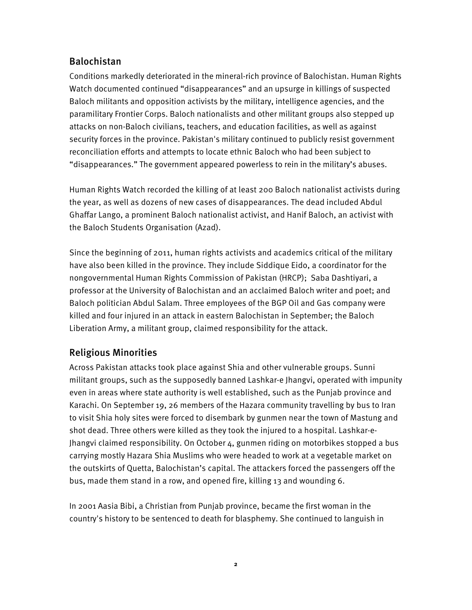### Balochistan

Conditions markedly deteriorated in the mineral-rich province of Balochistan. Human Rights Watch documented continued "disappearances" and an upsurge in killings of suspected Baloch militants and opposition activists by the military, intelligence agencies, and the paramilitary Frontier Corps. Baloch nationalists and other militant groups also stepped up attacks on non-Baloch civilians, teachers, and education facilities, as well as against security forces in the province. Pakistan's military continued to publicly resist government reconciliation efforts and attempts to locate ethnic Baloch who had been subject to "disappearances." The government appeared powerless to rein in the military's abuses.

Human Rights Watch recorded the killing of at least 200 Baloch nationalist activists during the year, as well as dozens of new cases of disappearances. The dead included Abdul Ghaffar Lango, a prominent Baloch nationalist activist, and Hanif Baloch, an activist with the Baloch Students Organisation (Azad).

Since the beginning of 2011, human rights activists and academics critical of the military have also been killed in the province. They include Siddique Eido, a coordinator for the nongovernmental Human Rights Commission of Pakistan (HRCP); Saba Dashtiyari, a professor at the University of Balochistan and an acclaimed Baloch writer and poet; and Baloch politician Abdul Salam. Three employees of the BGP Oil and Gas company were killed and four injured in an attack in eastern Balochistan in September; the Baloch Liberation Army, a militant group, claimed responsibility for the attack.

# Religious Minorities

Across Pakistan attacks took place against Shia and other vulnerable groups. Sunni militant groups, such as the supposedly banned Lashkar-e Jhangvi, operated with impunity even in areas where state authority is well established, such as the Punjab province and Karachi. On September 19, 26 members of the Hazara community travelling by bus to Iran to visit Shia holy sites were forced to disembark by gunmen near the town of Mastung and shot dead. Three others were killed as they took the injured to a hospital. Lashkar-e-Jhangvi claimed responsibility. On October 4, gunmen riding on motorbikes stopped a bus carrying mostly Hazara Shia Muslims who were headed to work at a vegetable market on the outskirts of Quetta, Balochistan's capital. The attackers forced the passengers off the bus, made them stand in a row, and opened fire, killing 13 and wounding 6.

In 2001 Aasia Bibi, a Christian from Punjab province, became the first woman in the country's history to be sentenced to death for blasphemy. She continued to languish in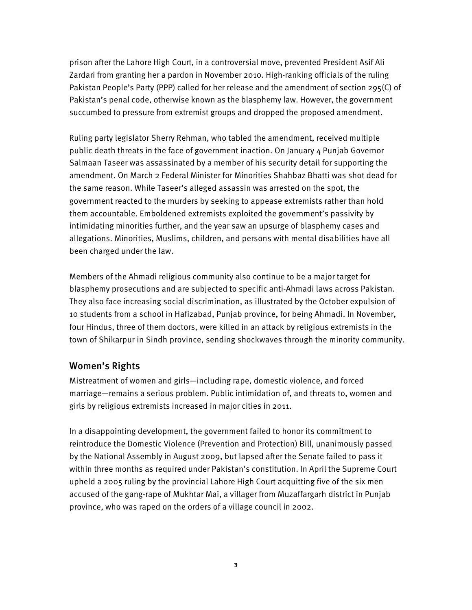prison after the Lahore High Court, in a controversial move, prevented President Asif Ali Zardari from granting her a pardon in November 2010. High-ranking officials of the ruling Pakistan People's Party (PPP) called for her release and the amendment of section 295(C) of Pakistan's penal code, otherwise known as the blasphemy law. However, the government succumbed to pressure from extremist groups and dropped the proposed amendment.

Ruling party legislator Sherry Rehman, who tabled the amendment, received multiple public death threats in the face of government inaction. On January 4 Punjab Governor Salmaan Taseer was assassinated by a member of his security detail for supporting the amendment. On March 2 Federal Minister for Minorities Shahbaz Bhatti was shot dead for the same reason. While Taseer's alleged assassin was arrested on the spot, the government reacted to the murders by seeking to appease extremists rather than hold them accountable. Emboldened extremists exploited the government's passivity by intimidating minorities further, and the year saw an upsurge of blasphemy cases and allegations. Minorities, Muslims, children, and persons with mental disabilities have all been charged under the law.

Members of the Ahmadi religious community also continue to be a major target for blasphemy prosecutions and are subjected to specific anti-Ahmadi laws across Pakistan. They also face increasing social discrimination, as illustrated by the October expulsion of 10 students from a school in Hafizabad, Punjab province, for being Ahmadi. In November, four Hindus, three of them doctors, were killed in an attack by religious extremists in the town of Shikarpur in Sindh province, sending shockwaves through the minority community.

#### Women's Rights

Mistreatment of women and girls—including rape, domestic violence, and forced marriage—remains a serious problem. Public intimidation of, and threats to, women and girls by religious extremists increased in major cities in 2011.

In a disappointing development, the government failed to honor its commitment to reintroduce the Domestic Violence (Prevention and Protection) Bill, unanimously passed by the National Assembly in August 2009, but lapsed after the Senate failed to pass it within three months as required under Pakistan's constitution. In April the Supreme Court upheld a 2005 ruling by the provincial Lahore High Court acquitting five of the six men accused of the gang-rape of Mukhtar Mai, a villager from Muzaffargarh district in Punjab province, who was raped on the orders of a village council in 2002.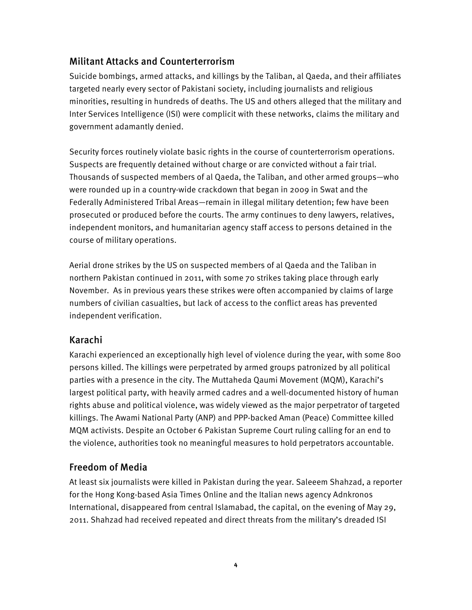### Militant Attacks and Counterterrorism

Suicide bombings, armed attacks, and killings by the Taliban, al Qaeda, and their affiliates targeted nearly every sector of Pakistani society, including journalists and religious minorities, resulting in hundreds of deaths. The US and others alleged that the military and Inter Services Intelligence (ISI) were complicit with these networks, claims the military and government adamantly denied.

Security forces routinely violate basic rights in the course of counterterrorism operations. Suspects are frequently detained without charge or are convicted without a fair trial. Thousands of suspected members of al Qaeda, the Taliban, and other armed groups—who were rounded up in a country-wide crackdown that began in 2009 in Swat and the Federally Administered Tribal Areas—remain in illegal military detention; few have been prosecuted or produced before the courts. The army continues to deny lawyers, relatives, independent monitors, and humanitarian agency staff access to persons detained in the course of military operations.

Aerial drone strikes by the US on suspected members of al Qaeda and the Taliban in northern Pakistan continued in 2011, with some 70 strikes taking place through early November. As in previous years these strikes were often accompanied by claims of large numbers of civilian casualties, but lack of access to the conflict areas has prevented independent verification.

#### Karachi

Karachi experienced an exceptionally high level of violence during the year, with some 800 persons killed. The killings were perpetrated by armed groups patronized by all political parties with a presence in the city. The Muttaheda Qaumi Movement (MQM), Karachi's largest political party, with heavily armed cadres and a well-documented history of human rights abuse and political violence, was widely viewed as the major perpetrator of targeted killings. The Awami National Party (ANP) and PPP-backed Aman (Peace) Committee killed MQM activists. Despite an October 6 Pakistan Supreme Court ruling calling for an end to the violence, authorities took no meaningful measures to hold perpetrators accountable.

# Freedom of Media

At least six journalists were killed in Pakistan during the year. Saleeem Shahzad, a reporter for the Hong Kong-based Asia Times Online and the Italian news agency Adnkronos International, disappeared from central Islamabad, the capital, on the evening of May 29, 2011. Shahzad had received repeated and direct threats from the military's dreaded ISI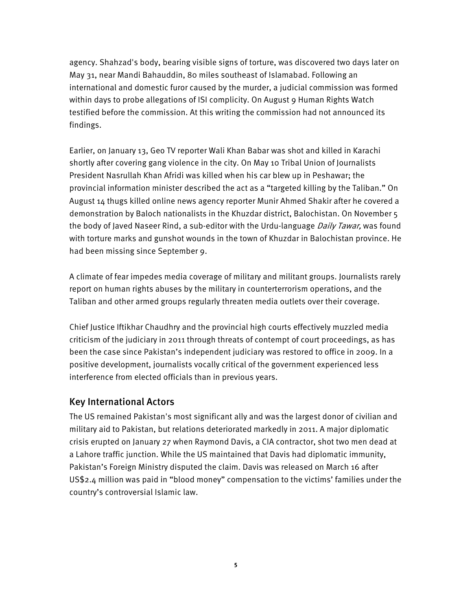agency. Shahzad's body, bearing visible signs of torture, was discovered two days later on May 31, near Mandi Bahauddin, 80 miles southeast of Islamabad. Following an international and domestic furor caused by the murder, a judicial commission was formed within days to probe allegations of ISI complicity. On August 9 Human Rights Watch testified before the commission. At this writing the commission had not announced its findings.

Earlier, on January 13, Geo TV reporter Wali Khan Babar was shot and killed in Karachi shortly after covering gang violence in the city. On May 10 Tribal Union of Journalists President Nasrullah Khan Afridi was killed when his car blew up in Peshawar; the provincial information minister described the act as a "targeted killing by the Taliban." On August 14 thugs killed online news agency reporter Munir Ahmed Shakir after he covered a demonstration by Baloch nationalists in the Khuzdar district, Balochistan. On November 5 the body of Javed Naseer Rind, a sub-editor with the Urdu-language *Daily Tawar*, was found with torture marks and gunshot wounds in the town of Khuzdar in Balochistan province. He had been missing since September 9.

A climate of fear impedes media coverage of military and militant groups. Journalists rarely report on human rights abuses by the military in counterterrorism operations, and the Taliban and other armed groups regularly threaten media outlets over their coverage.

Chief Justice Iftikhar Chaudhry and the provincial high courts effectively muzzled media criticism of the judiciary in 2011 through threats of contempt of court proceedings, as has been the case since Pakistan's independent judiciary was restored to office in 2009. In a positive development, journalists vocally critical of the government experienced less interference from elected officials than in previous years.

#### Key International Actors

The US remained Pakistan's most significant ally and was the largest donor of civilian and military aid to Pakistan, but relations deteriorated markedly in 2011. A major diplomatic crisis erupted on January 27 when Raymond Davis, a CIA contractor, shot two men dead at a Lahore traffic junction. While the US maintained that Davis had diplomatic immunity, Pakistan's Foreign Ministry disputed the claim. Davis was released on March 16 after US\$2.4 million was paid in "blood money" compensation to the victims' families under the country's controversial Islamic law.